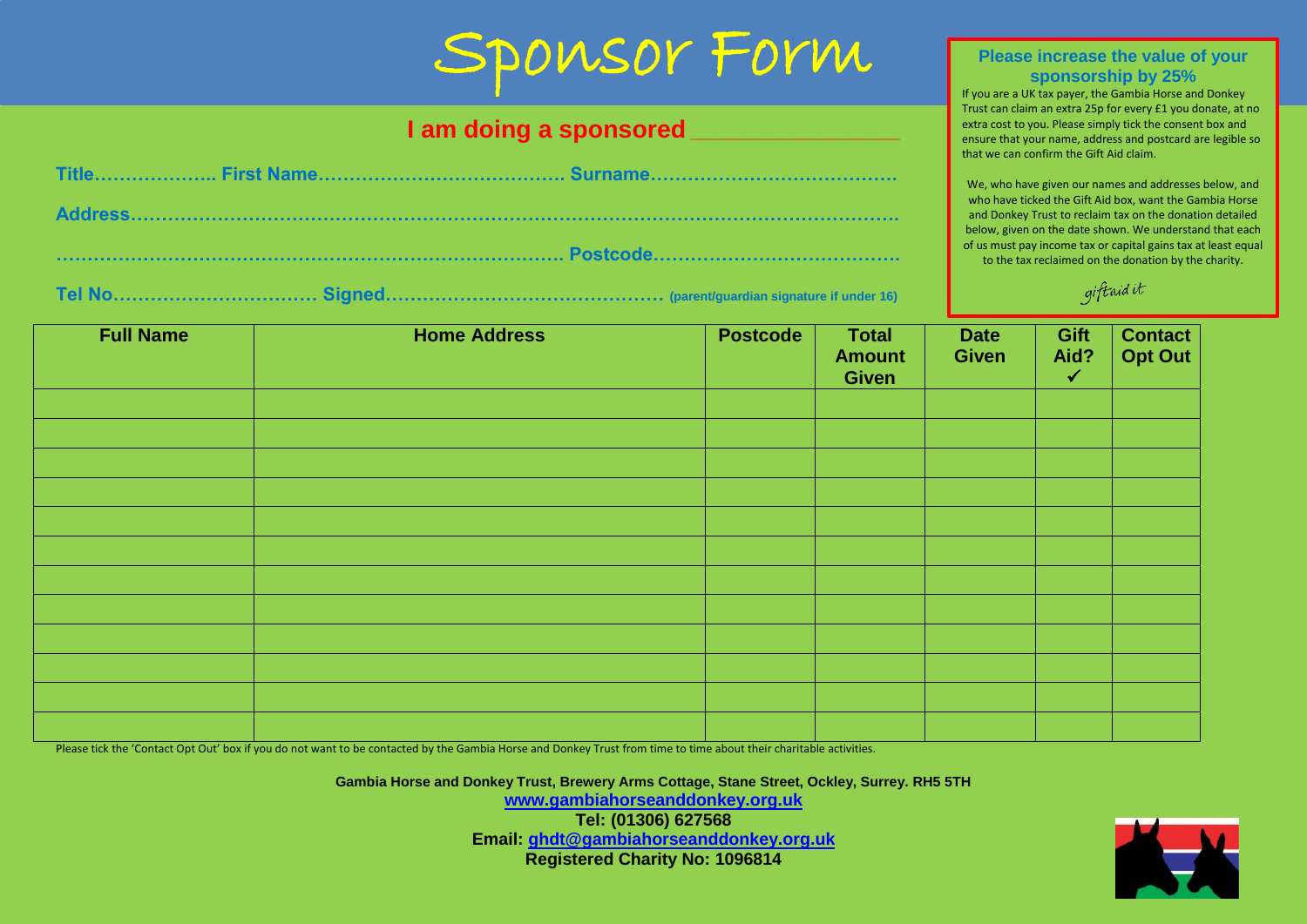## SPOWSOY FOYM Please increase the value of your

## **I am doing a sponsored \_\_\_\_\_\_\_\_\_\_\_\_\_\_\_\_\_\_\_\_\_\_**

|  | _Title…………………… First Name……………………………………… Surname…………………………………… |  |
|--|----------------------------------------------------------------|--|
|  |                                                                |  |
|  |                                                                |  |
|  |                                                                |  |

## **sponsorship by 25%**

If you are a UK tax payer, the Gambia Horse and Donkey Trust can claim an extra 25p for every £1 you donate, at no extra cost to you. Please simply tick the consent box and ensure that your name, address and postcard are legible so that we can confirm the Gift Aid claim.

We, who have given our names and addresses below, and who have ticked the Gift Aid box, want the Gambia Horse and Donkey Trust to reclaim tax on the donation detailed below, given on the date shown. We understand that each of us must pay income tax or capital gains tax at least equal to the tax reclaimed on the donation by the charity.

giftaidit

| <b>Full Name</b> | <b>Home Address</b> | <b>Postcode</b> | <b>Total</b><br><b>Amount</b><br><b>Given</b> | <b>Date</b><br><b>Given</b> | Gift<br>Aid?<br>$\checkmark$ | <b>Contact</b><br>Opt Out |
|------------------|---------------------|-----------------|-----------------------------------------------|-----------------------------|------------------------------|---------------------------|
|                  |                     |                 |                                               |                             |                              |                           |
|                  |                     |                 |                                               |                             |                              |                           |
|                  |                     |                 |                                               |                             |                              |                           |
|                  |                     |                 |                                               |                             |                              |                           |
|                  |                     |                 |                                               |                             |                              |                           |
|                  |                     |                 |                                               |                             |                              |                           |
|                  |                     |                 |                                               |                             |                              |                           |
|                  |                     |                 |                                               |                             |                              |                           |
|                  |                     |                 |                                               |                             |                              |                           |
|                  |                     |                 |                                               |                             |                              |                           |
|                  |                     |                 |                                               |                             |                              |                           |
|                  |                     |                 |                                               |                             |                              |                           |

Please tick the 'Contact Opt Out' box if you do not want to be contacted by the Gambia Horse and Donkey Trust from time to time about their charitable activities.

**Gambia Horse and Donkey Trust, Brewery Arms Cottage, Stane Street, Ockley, Surrey. RH5 5TH [www.gambiahorseanddonkey.org.uk](http://www.gambiahorseanddonkey.org.uk/)**

**Tel: (01306) 627568 Email: [ghdt@gambiahorseanddonkey.org.uk](mailto:ghdt@gambiahorseanddonkey.org.uk) Registered Charity No: 1096814**